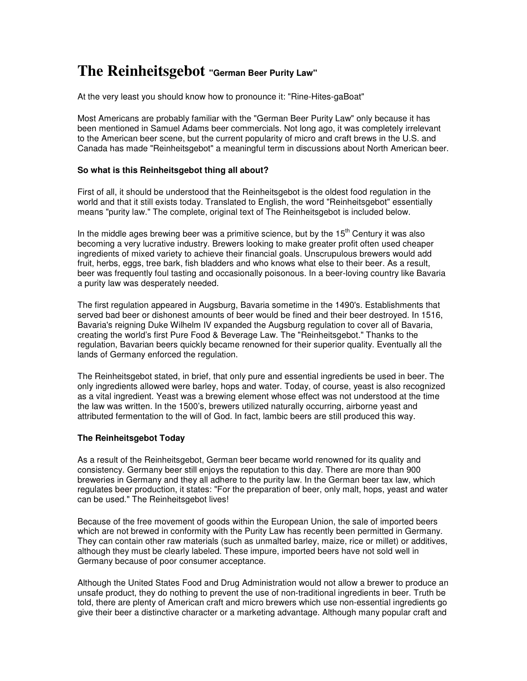# **The Reinheitsgebot "German Beer Purity Law"**

At the very least you should know how to pronounce it: "Rine-Hites-gaBoat"

Most Americans are probably familiar with the "German Beer Purity Law" only because it has been mentioned in Samuel Adams beer commercials. Not long ago, it was completely irrelevant to the American beer scene, but the current popularity of micro and craft brews in the U.S. and Canada has made "Reinheitsgebot" a meaningful term in discussions about North American beer.

# **So what is this Reinheitsgebot thing all about?**

First of all, it should be understood that the Reinheitsgebot is the oldest food regulation in the world and that it still exists today. Translated to English, the word "Reinheitsgebot" essentially means "purity law." The complete, original text of The Reinheitsgebot is included below.

In the middle ages brewing beer was a primitive science, but by the  $15<sup>th</sup>$  Century it was also becoming a very lucrative industry. Brewers looking to make greater profit often used cheaper ingredients of mixed variety to achieve their financial goals. Unscrupulous brewers would add fruit, herbs, eggs, tree bark, fish bladders and who knows what else to their beer. As a result, beer was frequently foul tasting and occasionally poisonous. In a beer-loving country like Bavaria a purity law was desperately needed.

The first regulation appeared in Augsburg, Bavaria sometime in the 1490's. Establishments that served bad beer or dishonest amounts of beer would be fined and their beer destroyed. In 1516, Bavaria's reigning Duke Wilhelm IV expanded the Augsburg regulation to cover all of Bavaria, creating the world's first Pure Food & Beverage Law. The "Reinheitsgebot." Thanks to the regulation, Bavarian beers quickly became renowned for their superior quality. Eventually all the lands of Germany enforced the regulation.

The Reinheitsgebot stated, in brief, that only pure and essential ingredients be used in beer. The only ingredients allowed were barley, hops and water. Today, of course, yeast is also recognized as a vital ingredient. Yeast was a brewing element whose effect was not understood at the time the law was written. In the 1500's, brewers utilized naturally occurring, airborne yeast and attributed fermentation to the will of God. In fact, lambic beers are still produced this way.

# **The Reinheitsgebot Today**

As a result of the Reinheitsgebot, German beer became world renowned for its quality and consistency. Germany beer still enjoys the reputation to this day. There are more than 900 breweries in Germany and they all adhere to the purity law. In the German beer tax law, which regulates beer production, it states: "For the preparation of beer, only malt, hops, yeast and water can be used." The Reinheitsgebot lives!

Because of the free movement of goods within the European Union, the sale of imported beers which are not brewed in conformity with the Purity Law has recently been permitted in Germany. They can contain other raw materials (such as unmalted barley, maize, rice or millet) or additives, although they must be clearly labeled. These impure, imported beers have not sold well in Germany because of poor consumer acceptance.

Although the United States Food and Drug Administration would not allow a brewer to produce an unsafe product, they do nothing to prevent the use of non-traditional ingredients in beer. Truth be told, there are plenty of American craft and micro brewers which use non-essential ingredients go give their beer a distinctive character or a marketing advantage. Although many popular craft and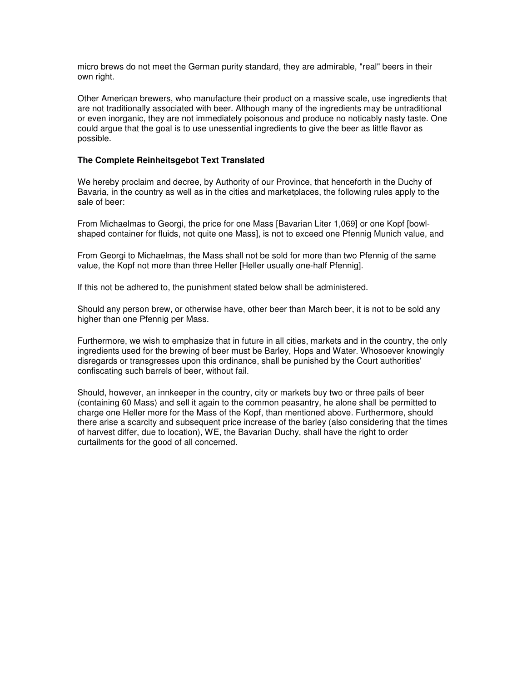micro brews do not meet the German purity standard, they are admirable, "real" beers in their own right.

Other American brewers, who manufacture their product on a massive scale, use ingredients that are not traditionally associated with beer. Although many of the ingredients may be untraditional or even inorganic, they are not immediately poisonous and produce no noticably nasty taste. One could argue that the goal is to use unessential ingredients to give the beer as little flavor as possible.

## **The Complete Reinheitsgebot Text Translated**

We hereby proclaim and decree, by Authority of our Province, that henceforth in the Duchy of Bavaria, in the country as well as in the cities and marketplaces, the following rules apply to the sale of beer:

From Michaelmas to Georgi, the price for one Mass [Bavarian Liter 1,069] or one Kopf [bowlshaped container for fluids, not quite one Mass], is not to exceed one Pfennig Munich value, and

From Georgi to Michaelmas, the Mass shall not be sold for more than two Pfennig of the same value, the Kopf not more than three Heller [Heller usually one-half Pfennig].

If this not be adhered to, the punishment stated below shall be administered.

Should any person brew, or otherwise have, other beer than March beer, it is not to be sold any higher than one Pfennig per Mass.

Furthermore, we wish to emphasize that in future in all cities, markets and in the country, the only ingredients used for the brewing of beer must be Barley, Hops and Water. Whosoever knowingly disregards or transgresses upon this ordinance, shall be punished by the Court authorities' confiscating such barrels of beer, without fail.

Should, however, an innkeeper in the country, city or markets buy two or three pails of beer (containing 60 Mass) and sell it again to the common peasantry, he alone shall be permitted to charge one Heller more for the Mass of the Kopf, than mentioned above. Furthermore, should there arise a scarcity and subsequent price increase of the barley (also considering that the times of harvest differ, due to location), WE, the Bavarian Duchy, shall have the right to order curtailments for the good of all concerned.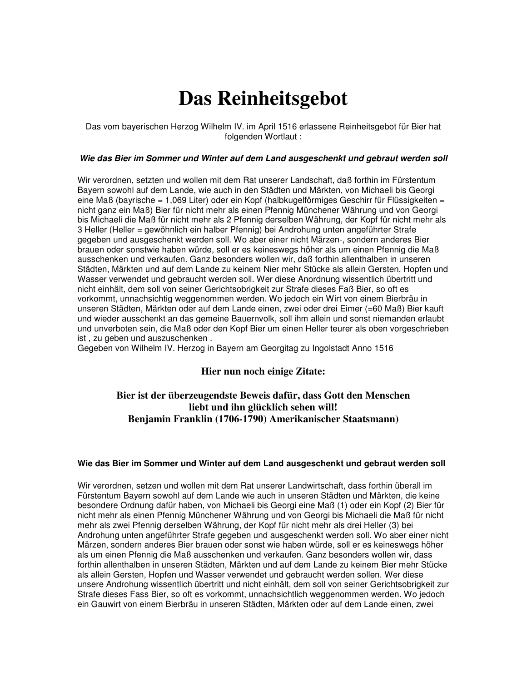# **Das Reinheitsgebot**

Das vom bayerischen Herzog Wilhelm IV. im April 1516 erlassene Reinheitsgebot für Bier hat folgenden Wortlaut :

#### **Wie das Bier im Sommer und Winter auf dem Land ausgeschenkt und gebraut werden soll**

Wir verordnen, setzten und wollen mit dem Rat unserer Landschaft, daß forthin im Fürstentum Bayern sowohl auf dem Lande, wie auch in den Städten und Märkten, von Michaeli bis Georgi eine Maß (bayrische = 1,069 Liter) oder ein Kopf (halbkugelförmiges Geschirr für Flüssigkeiten = nicht ganz ein Maß) Bier für nicht mehr als einen Pfennig Münchener Währung und von Georgi bis Michaeli die Maß für nicht mehr als 2 Pfennig derselben Währung, der Kopf für nicht mehr als 3 Heller (Heller = gewöhnlich ein halber Pfennig) bei Androhung unten angeführter Strafe gegeben und ausgeschenkt werden soll. Wo aber einer nicht Märzen-, sondern anderes Bier brauen oder sonstwie haben würde, soll er es keineswegs höher als um einen Pfennig die Maß ausschenken und verkaufen. Ganz besonders wollen wir, daß forthin allenthalben in unseren Städten, Märkten und auf dem Lande zu keinem Nier mehr Stücke als allein Gersten, Hopfen und Wasser verwendet und gebraucht werden soll. Wer diese Anordnung wissentlich übertritt und nicht einhält, dem soll von seiner Gerichtsobrigkeit zur Strafe dieses Faß Bier, so oft es vorkommt, unnachsichtig weggenommen werden. Wo jedoch ein Wirt von einem Bierbräu in unseren Städten, Märkten oder auf dem Lande einen, zwei oder drei Eimer (=60 Maß) Bier kauft und wieder ausschenkt an das gemeine Bauernvolk, soll ihm allein und sonst niemanden erlaubt und unverboten sein, die Maß oder den Kopf Bier um einen Heller teurer als oben vorgeschrieben ist , zu geben und auszuschenken .

Gegeben von Wilhelm IV. Herzog in Bayern am Georgitag zu Ingolstadt Anno 1516

# **Hier nun noch einige Zitate:**

**Bier ist der überzeugendste Beweis dafür, dass Gott den Menschen liebt und ihn glücklich sehen will! Benjamin Franklin (1706-1790) Amerikanischer Staatsmann)**

#### **Wie das Bier im Sommer und Winter auf dem Land ausgeschenkt und gebraut werden soll**

Wir verordnen, setzen und wollen mit dem Rat unserer Landwirtschaft, dass forthin überall im Fürstentum Bayern sowohl auf dem Lande wie auch in unseren Städten und Märkten, die keine besondere Ordnung dafür haben, von Michaeli bis Georgi eine Maß (1) oder ein Kopf (2) Bier für nicht mehr als einen Pfennig Münchener Währung und von Georgi bis Michaeli die Maß für nicht mehr als zwei Pfennig derselben Währung, der Kopf für nicht mehr als drei Heller (3) bei Androhung unten angeführter Strafe gegeben und ausgeschenkt werden soll. Wo aber einer nicht Märzen, sondern anderes Bier brauen oder sonst wie haben würde, soll er es keineswegs höher als um einen Pfennig die Maß ausschenken und verkaufen. Ganz besonders wollen wir, dass forthin allenthalben in unseren Städten, Märkten und auf dem Lande zu keinem Bier mehr Stücke als allein Gersten, Hopfen und Wasser verwendet und gebraucht werden sollen. Wer diese unsere Androhung wissentlich übertritt und nicht einhält, dem soll von seiner Gerichtsobrigkeit zur Strafe dieses Fass Bier, so oft es vorkommt, unnachsichtlich weggenommen werden. Wo jedoch ein Gauwirt von einem Bierbräu in unseren Städten, Märkten oder auf dem Lande einen, zwei